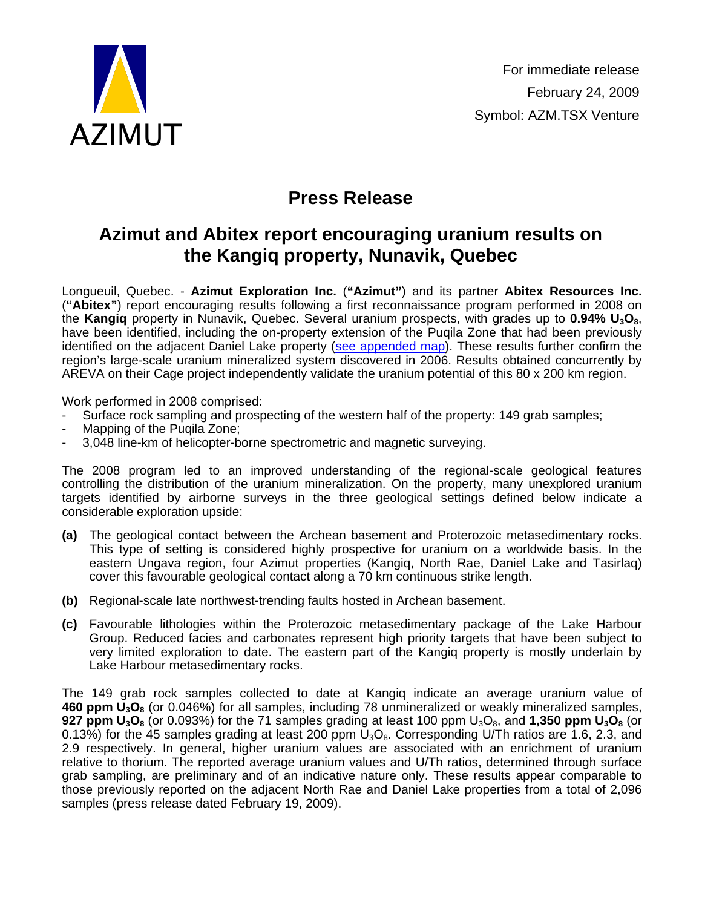

## **Press Release**

## **Azimut and Abitex report encouraging uranium results on the Kangiq property, Nunavik, Quebec**

Longueuil, Quebec. - **Azimut Exploration Inc.** (**"Azimut"**) and its partner **Abitex Resources Inc.**  (**"Abitex"**) report encouraging results following a first reconnaissance program performed in 2008 on the **Kangiq** property in Nunavik, Quebec. Several uranium prospects, with grades up to **0.94% U3O8**, have been identified, including the on-property extension of the Puqila Zone that had been previously identified on the adjacent Daniel Lake property ([see appended map](http://www.azimut-exploration.com/en/Fig_AZM_PR_20090224.pdf)). These results further confirm the region's large-scale uranium mineralized system discovered in 2006. Results obtained concurrently by AREVA on their Cage project independently validate the uranium potential of this 80 x 200 km region.

Work performed in 2008 comprised:

- Surface rock sampling and prospecting of the western half of the property: 149 grab samples;
- Mapping of the Puqila Zone;
- 3,048 line-km of helicopter-borne spectrometric and magnetic surveying.

The 2008 program led to an improved understanding of the regional-scale geological features controlling the distribution of the uranium mineralization. On the property, many unexplored uranium targets identified by airborne surveys in the three geological settings defined below indicate a considerable exploration upside:

- **(a)** The geological contact between the Archean basement and Proterozoic metasedimentary rocks. This type of setting is considered highly prospective for uranium on a worldwide basis. In the eastern Ungava region, four Azimut properties (Kangiq, North Rae, Daniel Lake and Tasirlaq) cover this favourable geological contact along a 70 km continuous strike length.
- **(b)** Regional-scale late northwest-trending faults hosted in Archean basement.
- **(c)** Favourable lithologies within the Proterozoic metasedimentary package of the Lake Harbour Group. Reduced facies and carbonates represent high priority targets that have been subject to very limited exploration to date. The eastern part of the Kangiq property is mostly underlain by Lake Harbour metasedimentary rocks.

The 149 grab rock samples collected to date at Kangiq indicate an average uranium value of **460 ppm U3O8** (or 0.046%) for all samples, including 78 unmineralized or weakly mineralized samples, **927 ppm U<sub>3</sub>O<sub>8</sub> (or 0.093%) for the 71 samples grading at least 100 ppm U<sub>3</sub>O<sub>8</sub>, and <b>1,350 ppm U<sub>3</sub>O<sub>8</sub> (or** 0.13%) for the 45 samples grading at least 200 ppm  $U_3O_8$ . Corresponding U/Th ratios are 1.6, 2.3, and 2.9 respectively. In general, higher uranium values are associated with an enrichment of uranium relative to thorium. The reported average uranium values and U/Th ratios, determined through surface grab sampling, are preliminary and of an indicative nature only. These results appear comparable to those previously reported on the adjacent North Rae and Daniel Lake properties from a total of 2,096 samples (press release dated February 19, 2009).